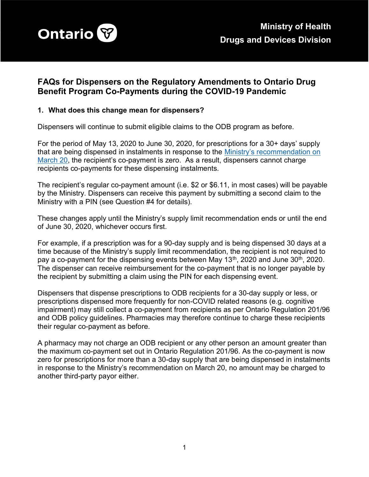

# FAQs for Dispensers on the Regulatory Amendments to Ontario Drug Benefit Program Co-Payments during the COVID-19 Pandemic

#### 1. What does this change mean for dispensers?

Dispensers will continue to submit eligible claims to the ODB program as before.

For the period of May 13, 2020 to June 30, 2020, for prescriptions for a 30+ days' supply that are being dispensed in instalments in response to the Ministry's recommendation on March 20, the recipient's co-payment is zero. As a result, dispensers cannot charge recipients co-payments for these dispensing instalments.

The recipient's regular co-payment amount (i.e. \$2 or \$6.11, in most cases) will be payable by the Ministry. Dispensers can receive this payment by submitting a second claim to the Ministry with a PIN (see Question #4 for details).

These changes apply until the Ministry's supply limit recommendation ends or until the end of June 30, 2020, whichever occurs first.

For example, if a prescription was for a 90-day supply and is being dispensed 30 days at a time because of the Ministry's supply limit recommendation, the recipient is not required to pay a co-payment for the dispensing events between May  $13<sup>th</sup>$ , 2020 and June  $30<sup>th</sup>$ , 2020. The dispenser can receive reimbursement for the co-payment that is no longer payable by the recipient by submitting a claim using the PIN for each dispensing event.

Dispensers that dispense prescriptions to ODB recipients for a 30-day supply or less, or prescriptions dispensed more frequently for non-COVID related reasons (e.g. cognitive impairment) may still collect a co-payment from recipients as per Ontario Regulation 201/96 and ODB policy guidelines. Pharmacies may therefore continue to charge these recipients their regular co-payment as before.

A pharmacy may not charge an ODB recipient or any other person an amount greater than the maximum co-payment set out in Ontario Regulation 201/96. As the co-payment is now zero for prescriptions for more than a 30-day supply that are being dispensed in instalments in response to the Ministry's recommendation on March 20, no amount may be charged to another third-party payor either.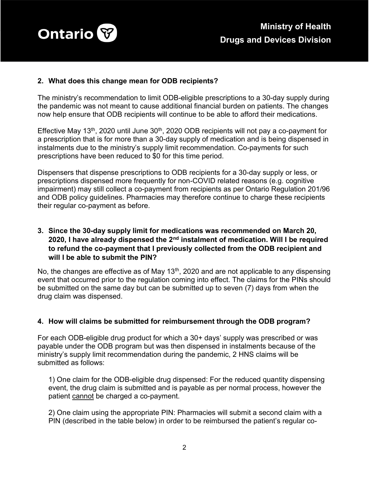

## 2. What does this change mean for ODB recipients?

The ministry's recommendation to limit ODB-eligible prescriptions to a 30-day supply during the pandemic was not meant to cause additional financial burden on patients. The changes now help ensure that ODB recipients will continue to be able to afford their medications.

Effective May 13<sup>th</sup>, 2020 until June  $30<sup>th</sup>$ , 2020 ODB recipients will not pay a co-payment for a prescription that is for more than a 30-day supply of medication and is being dispensed in instalments due to the ministry's supply limit recommendation. Co-payments for such prescriptions have been reduced to \$0 for this time period.

Dispensers that dispense prescriptions to ODB recipients for a 30-day supply or less, or prescriptions dispensed more frequently for non-COVID related reasons (e.g. cognitive impairment) may still collect a co-payment from recipients as per Ontario Regulation 201/96 and ODB policy guidelines. Pharmacies may therefore continue to charge these recipients their regular co-payment as before.

## 3. Since the 30-day supply limit for medications was recommended on March 20, 2020, I have already dispensed the  $2<sup>nd</sup>$  instalment of medication. Will I be required to refund the co-payment that I previously collected from the ODB recipient and will I be able to submit the PIN?

No, the changes are effective as of May 13<sup>th</sup>, 2020 and are not applicable to any dispensing event that occurred prior to the regulation coming into effect. The claims for the PINs should be submitted on the same day but can be submitted up to seven (7) days from when the drug claim was dispensed.

#### 4. How will claims be submitted for reimbursement through the ODB program?

For each ODB-eligible drug product for which a 30+ days' supply was prescribed or was payable under the ODB program but was then dispensed in instalments because of the ministry's supply limit recommendation during the pandemic, 2 HNS claims will be submitted as follows:

1) One claim for the ODB-eligible drug dispensed: For the reduced quantity dispensing event, the drug claim is submitted and is payable as per normal process, however the patient cannot be charged a co-payment.

2) One claim using the appropriate PIN: Pharmacies will submit a second claim with a PIN (described in the table below) in order to be reimbursed the patient's regular co-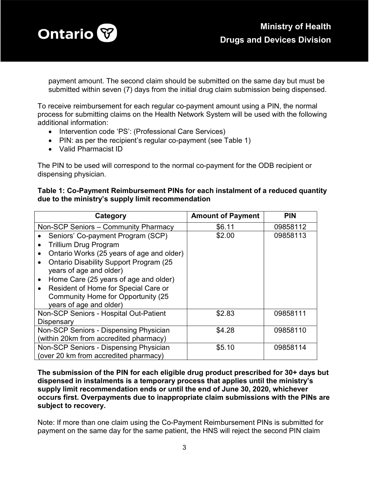

payment amount. The second claim should be submitted on the same day but must be submitted within seven (7) days from the initial drug claim submission being dispensed.

To receive reimbursement for each regular co-payment amount using a PIN, the normal process for submitting claims on the Health Network System will be used with the following additional information:

- Intervention code 'PS': (Professional Care Services)
- PIN: as per the recipient's regular co-payment (see Table 1)
- Valid Pharmacist ID

The PIN to be used will correspond to the normal co-payment for the ODB recipient or dispensing physician.

#### Table 1: Co-Payment Reimbursement PINs for each instalment of a reduced quantity due to the ministry's supply limit recommendation

| Category                                                                                                                                                                                                                                                                                                                                                   | <b>Amount of Payment</b> | <b>PIN</b> |
|------------------------------------------------------------------------------------------------------------------------------------------------------------------------------------------------------------------------------------------------------------------------------------------------------------------------------------------------------------|--------------------------|------------|
| Non-SCP Seniors - Community Pharmacy                                                                                                                                                                                                                                                                                                                       | \$6.11                   | 09858112   |
| Seniors' Co-payment Program (SCP)<br><b>Trillium Drug Program</b><br>Ontario Works (25 years of age and older)<br><b>Ontario Disability Support Program (25)</b><br>years of age and older)<br>Home Care (25 years of age and older)<br>$\bullet$<br>Resident of Home for Special Care or<br>Community Home for Opportunity (25<br>years of age and older) | \$2.00                   | 09858113   |
| Non-SCP Seniors - Hospital Out-Patient<br>Dispensary                                                                                                                                                                                                                                                                                                       | \$2.83                   | 09858111   |
| Non-SCP Seniors - Dispensing Physician<br>(within 20km from accredited pharmacy)                                                                                                                                                                                                                                                                           | \$4.28                   | 09858110   |
| Non-SCP Seniors - Dispensing Physician<br>(over 20 km from accredited pharmacy)                                                                                                                                                                                                                                                                            | \$5.10                   | 09858114   |

The submission of the PIN for each eligible drug product prescribed for 30+ days but dispensed in instalments is a temporary process that applies until the ministry's supply limit recommendation ends or until the end of June 30, 2020, whichever occurs first. Overpayments due to inappropriate claim submissions with the PINs are subject to recovery.

Note: If more than one claim using the Co-Payment Reimbursement PINs is submitted for payment on the same day for the same patient, the HNS will reject the second PIN claim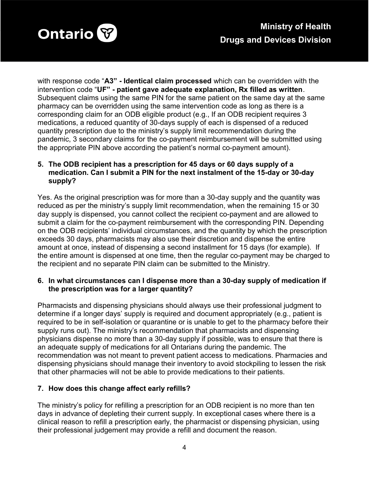

with response code "A3" - Identical claim processed which can be overridden with the intervention code "UF" - patient gave adequate explanation, Rx filled as written. Subsequent claims using the same PIN for the same patient on the same day at the same pharmacy can be overridden using the same intervention code as long as there is a corresponding claim for an ODB eligible product (e.g., If an ODB recipient requires 3 medications, a reduced quantity of 30-days supply of each is dispensed of a reduced quantity prescription due to the ministry's supply limit recommendation during the pandemic, 3 secondary claims for the co-payment reimbursement will be submitted using the appropriate PIN above according the patient's normal co-payment amount).

## 5. The ODB recipient has a prescription for 45 days or 60 days supply of a medication. Can I submit a PIN for the next instalment of the 15-day or 30-day supply?

Yes. As the original prescription was for more than a 30-day supply and the quantity was reduced as per the ministry's supply limit recommendation, when the remaining 15 or 30 day supply is dispensed, you cannot collect the recipient co-payment and are allowed to submit a claim for the co-payment reimbursement with the corresponding PIN. Depending on the ODB recipients' individual circumstances, and the quantity by which the prescription exceeds 30 days, pharmacists may also use their discretion and dispense the entire amount at once, instead of dispensing a second installment for 15 days (for example). If the entire amount is dispensed at one time, then the regular co-payment may be charged to the recipient and no separate PIN claim can be submitted to the Ministry.

#### 6. In what circumstances can I dispense more than a 30-day supply of medication if the prescription was for a larger quantity?

Pharmacists and dispensing physicians should always use their professional judgment to determine if a longer days' supply is required and document appropriately (e.g., patient is required to be in self-isolation or quarantine or is unable to get to the pharmacy before their supply runs out). The ministry's recommendation that pharmacists and dispensing physicians dispense no more than a 30-day supply if possible, was to ensure that there is an adequate supply of medications for all Ontarians during the pandemic. The recommendation was not meant to prevent patient access to medications. Pharmacies and dispensing physicians should manage their inventory to avoid stockpiling to lessen the risk that other pharmacies will not be able to provide medications to their patients.

## 7. How does this change affect early refills?

The ministry's policy for refilling a prescription for an ODB recipient is no more than ten days in advance of depleting their current supply. In exceptional cases where there is a clinical reason to refill a prescription early, the pharmacist or dispensing physician, using their professional judgement may provide a refill and document the reason.